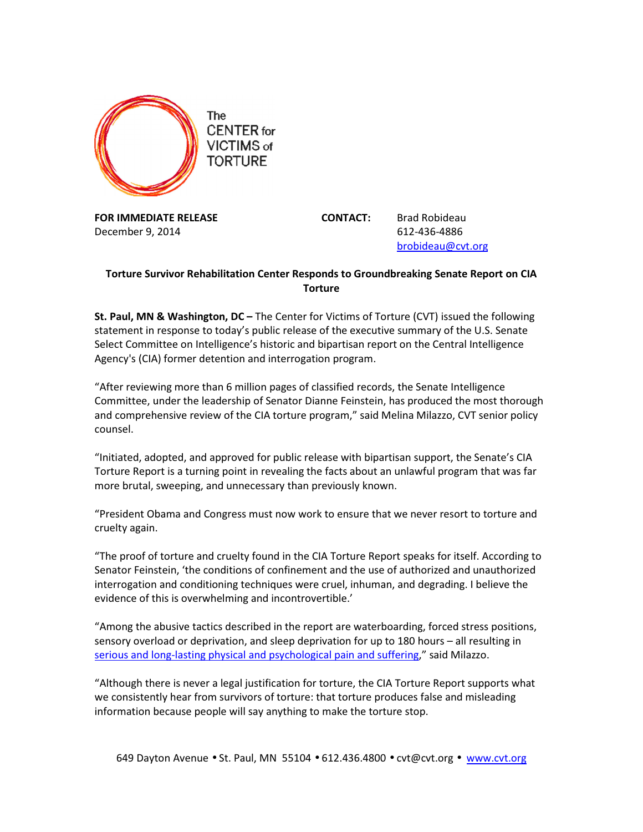

FOR IMMEDIATE RELEASE CONTACT: Brad Robideau December 9, 2014 **612-436-4886** 

brobideau@cvt.org

## Torture Survivor Rehabilitation Center Responds to Groundbreaking Senate Report on CIA **Torture**

St. Paul, MN & Washington, DC – The Center for Victims of Torture (CVT) issued the following statement in response to today's public release of the executive summary of the U.S. Senate Select Committee on Intelligence's historic and bipartisan report on the Central Intelligence Agency's (CIA) former detention and interrogation program.

"After reviewing more than 6 million pages of classified records, the Senate Intelligence Committee, under the leadership of Senator Dianne Feinstein, has produced the most thorough and comprehensive review of the CIA torture program," said Melina Milazzo, CVT senior policy counsel.

"Initiated, adopted, and approved for public release with bipartisan support, the Senate's CIA Torture Report is a turning point in revealing the facts about an unlawful program that was far more brutal, sweeping, and unnecessary than previously known.

"President Obama and Congress must now work to ensure that we never resort to torture and cruelty again.

"The proof of torture and cruelty found in the CIA Torture Report speaks for itself. According to Senator Feinstein, 'the conditions of confinement and the use of authorized and unauthorized interrogation and conditioning techniques were cruel, inhuman, and degrading. I believe the evidence of this is overwhelming and incontrovertible.'

"Among the abusive tactics described in the report are waterboarding, forced stress positions, sensory overload or deprivation, and sleep deprivation for up to 180 hours – all resulting in serious and long-lasting physical and psychological pain and suffering," said Milazzo.

"Although there is never a legal justification for torture, the CIA Torture Report supports what we consistently hear from survivors of torture: that torture produces false and misleading information because people will say anything to make the torture stop.